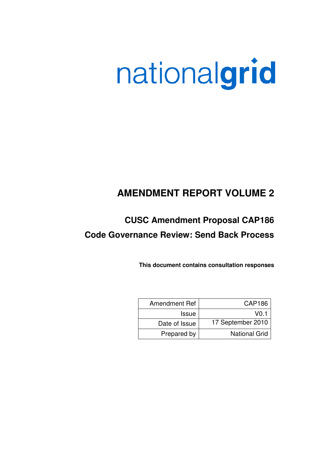# nationalgrid

# **AMENDMENT REPORT VOLUME 2**

# **CUSC Amendment Proposal CAP186 Code Governance Review: Send Back Process**

**This document contains consultation responses** 

| Amendment Ref | <b>CAP186</b>        |
|---------------|----------------------|
| <b>Issue</b>  | V <sub>0.1</sub>     |
| Date of Issue | 17 September 2010    |
| Prepared by   | <b>National Grid</b> |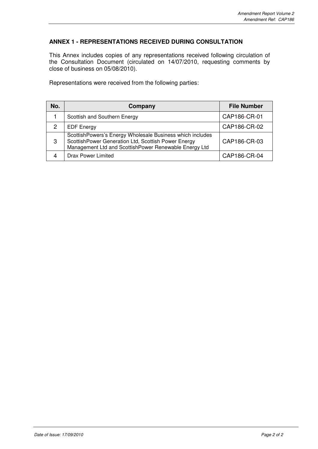## **ANNEX 1 - REPRESENTATIONS RECEIVED DURING CONSULTATION**

This Annex includes copies of any representations received following circulation of the Consultation Document (circulated on 14/07/2010, requesting comments by close of business on 05/08/2010).

Representations were received from the following parties:

| No. | Company                                                                                                                                                                   | <b>File Number</b> |
|-----|---------------------------------------------------------------------------------------------------------------------------------------------------------------------------|--------------------|
|     | Scottish and Southern Energy                                                                                                                                              | CAP186-CR-01       |
| 2   | <b>EDF Energy</b>                                                                                                                                                         | CAP186-CR-02       |
| 3   | ScottishPowers's Energy Wholesale Business which includes<br>ScottishPower Generation Ltd, Scottish Power Energy<br>Management Ltd and ScottishPower Renewable Energy Ltd | CAP186-CR-03       |
|     | Drax Power Limited                                                                                                                                                        | CAP186-CR-04       |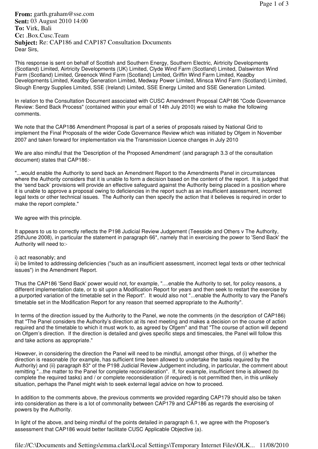**From:** garth.graham@sse.com **Sent:** 03 August 2010 14:00 **To:** Virk, Bali **Cc:** .Box.Cusc.Team **Subject:** Re: CAP186 and CAP187 Consultation Documents Dear Sirs,

This response is sent on behalf of Scottish and Southern Energy, Southern Electric, Airtricity Developments (Scotland) Limited, Airtricity Developments (UK) Limited, Clyde Wind Farm (Scotland) Limited, Dalswinton Wind Farm (Scotland) Limited, Greenock Wind Farm (Scotland) Limited, Griffin Wind Farm Limited, Keadby Developments Limited, Keadby Generation Limited, Medway Power Limited, Minsca Wind Farm (Scotland) Limited, Slough Energy Supplies Limited, SSE (Ireland) Limited, SSE Energy Limited and SSE Generation Limited.

In relation to the Consultation Document associated with CUSC Amendment Proposal CAP186 "Code Governance Review: Send Back Process" (contained within your email of 14th July 2010) we wish to make the following comments.

We note that the CAP186 Amendment Proposal is part of a series of proposals raised by National Grid to implement the Final Proposals of the wider Code Governance Review which was initiated by Ofgem in November 2007 and taken forward for implementation via the Transmission Licence changes in July 2010

We are also mindful that the 'Description of the Proposed Amendment' (and paragraph 3.3 of the consultation document) states that CAP186:-

"...would enable the Authority to send back an Amendment Report to the Amendments Panel in circumstances where the Authority considers that it is unable to form a decision based on the content of the report. It is judged that the 'send back' provisions will provide an effective safeguard against the Authority being placed in a position where it is unable to approve a proposal owing to deficiencies in the report such as an insufficient assessment, incorrect legal texts or other technical issues. The Authority can then specify the action that it believes is required in order to make the report complete."

We agree with this principle.

It appears to us to correctly reflects the P198 Judicial Review Judgement (Teesside and Others v The Authority, 25thJune 2008), in particular the statement in paragraph 66\*, namely that in exercising the power to 'Send Back' the Authority will need to:-

#### i) act reasonably; and

ii) be limited to addressing deficiencies ("such as an insufficient assessment, incorrect legal texts or other technical issues") in the Amendment Report.

Thus the CAP186 'Send Back' power would not, for example, "....enable the Authority to set, for policy reasons, a different implementation date, or to sit upon a Modification Report for years and then seek to restart the exercise by a purported variation of the timetable set in the Report". It would also not "...enable the Authority to vary the Panel's timetable set in the Modification Report for any reason that seemed appropriate to the Authority".

In terms of the direction issued by the Authority to the Panel, we note the comments (in the description of CAP186) that "The Panel considers the Authority's direction at its next meeting and makes a decision on the course of action required and the timetable to which it must work to, as agreed by Ofgem" and that "The course of action will depend on Ofgem's direction. If the direction is detailed and gives specific steps and timescales, the Panel will follow this and take actions as appropriate."

However, in considering the direction the Panel will need to be mindful, amongst other things, of (i) whether the direction is reasonable (for example, has sufficient time been allowed to undertake the tasks required by the Authority) and (ii) paragraph 83\* of the P198 Judicial Review Judgement including, in particular, the comment about remitting "...the matter to the Panel for complete reconsideration". If, for example, insufficient time is allowed (to complete the required tasks) and / or complete reconsideration (if required) is not permitted then, in this unlikely situation, perhaps the Panel might wish to seek external legal advice on how to proceed.

In addition to the comments above, the previous comments we provided regarding CAP179 should also be taken into consideration as there is a lot of commonality between CAP179 and CAP186 as regards the exercising of powers by the Authority.

In light of the above, and being mindful of the points detailed in paragraph 6.1, we agree with the Proposer's assessment that CAP186 would better facilitate CUSC Applicable Objective (a).

file://C:\Documents and Settings\emma.clark\Local Settings\Temporary Internet Files\OLK... 11/08/2010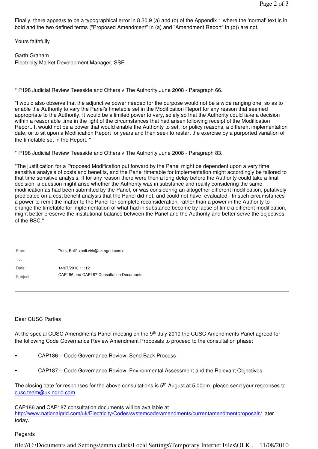Finally, there appears to be a typographical error in 8.20.9 (a) and (b) of the Appendix 1 where the 'normal' text is in bold and the two defined terms ("Proposed Amendment" in (a) and "Amendment Report" in (b)) are not.

Yours faithfully

Garth Graham Electricity Market Development Manager, SSE

\* P198 Judicial Review Teesside and Others v The Authority June 2008 - Paragraph 66.

"I would also observe that the adjunctive power needed for the purpose would not be a wide ranging one, so as to enable the Authority to vary the Panel's timetable set in the Modification Report for any reason that seemed appropriate to the Authority. It would be a limited power to vary, solely so that the Authority could take a decision within a reasonable time in the light of the circumstances that had arisen following receipt of the Modification Report. It would not be a power that would enable the Authority to set, for policy reasons, a different implementation date, or to sit upon a Modification Report for years and then seek to restart the exercise by a purported variation of the timetable set in the Report. "

\* P198 Judicial Review Teesside and Others v The Authority June 2008 - Paragraph 83.

"The justification for a Proposed Modification put forward by the Panel might be dependent upon a very time sensitive analysis of costs and benefits, and the Panel timetable for implementation might accordingly be tailored to that time sensitive analysis. If for any reason there were then a long delay before the Authority could take a final decision, a question might arise whether the Authority was in substance and reality considering the same modification as had been submitted by the Panel, or was considering an altogether different modification, putatively predicated on a cost benefit analysis that the Panel did not, and could not have, evaluated. In such circumstances a power to remit the matter to the Panel for complete reconsideration, rather than a power in the Authority to change the timetable for implementation of what had in substance become by lapse of time a different modification, might better preserve the institutional balance between the Panel and the Authority and better serve the objectives of the BSC."

| From:    | "Virk, Bali" <bali.virk@uk.ngrid.com></bali.virk@uk.ngrid.com> |
|----------|----------------------------------------------------------------|
| To:      |                                                                |
| Date:    | 14/07/2010 11:12                                               |
| Subject: | CAP186 and CAP187 Consultation Documents                       |

#### Dear CUSC Parties

At the special CUSC Amendments Panel meeting on the 9<sup>th</sup> July 2010 the CUSC Amendments Panel agreed for the following Code Governance Review Amendment Proposals to proceed to the consultation phase:

- CAP186 Code Governance Review: Send Back Process
- CAP187 Code Governance Review: Environmental Assessment and the Relevant Objectives

The closing date for responses for the above consultations is 5<sup>th</sup> August at 5.00pm, please send your responses to cusc.team@uk.ngrid.com

CAP186 and CAP187 consultation documents will be available at http://www.nationalgrid.com/uk/Electricity/Codes/systemcode/amendments/currentamendmentproposals/ later today.

#### Regards

file://C:\Documents and Settings\emma.clark\Local Settings\Temporary Internet Files\OLK... 11/08/2010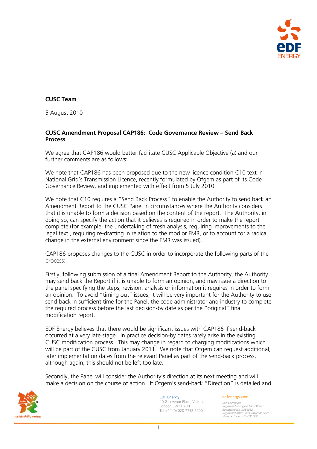

# **CUSC Team**

5 August 2010

## **CUSC Amendment Proposal CAP186: Code Governance Review – Send Back Process**

We agree that CAP186 would better facilitate CUSC Applicable Objective (a) and our further comments are as follows:

We note that CAP186 has been proposed due to the new licence condition C10 text in National Grid's Transmission Licence, recently formulated by Ofgem as part of its Code Governance Review, and implemented with effect from 5 July 2010.

We note that C10 requires a "Send Back Process" to enable the Authority to send back an Amendment Report to the CUSC Panel in circumstances where the Authority considers that it is unable to form a decision based on the content of the report. The Authority, in doing so, can specify the action that it believes is required in order to make the report complete (for example, the undertaking of fresh analysis, requiring improvements to the legal text , requiring re-drafting in relation to the mod or FMR, or to account for a radical change in the external environment since the FMR was issued).

CAP186 proposes changes to the CUSC in order to incorporate the following parts of the process:

Firstly, following submission of a final Amendment Report to the Authority, the Authority may send back the Report if it is unable to form an opinion, and may issue a direction to the panel specifying the steps, revision, analysis or information it requires in order to form an opinion. To avoid "timing out" issues, it will be very important for the Authority to use send-back in sufficient time for the Panel, the code administrator and industry to complete the required process before the last decision-by date as per the "original" final modification report.

EDF Energy believes that there would be significant issues with CAP186 if send-back occurred at a very late stage. In practice decision-by dates rarely arise in the existing CUSC modification process. This may change in regard to charging modifications which will be part of the CUSC from January 2011. We note that Ofgem can request additional, later implementation dates from the relevant Panel as part of the send-back process, although again, this should not be left too late.

Secondly, the Panel will consider the Authority's direction at its next meeting and will make a decision on the course of action. If Ofgem's send-back "Direction" is detailed and



EDF Energy 40 Grosvenor Place, Victoria London SW1X 7EN Tel +44 (0) 020 7752 2200

#### edfenergy.com

EDF Energy plc. Registered in England and Wales. Registered No. 2366852. Registered office: 40 Grosvenor Place, Victoria, London SW1X 7EN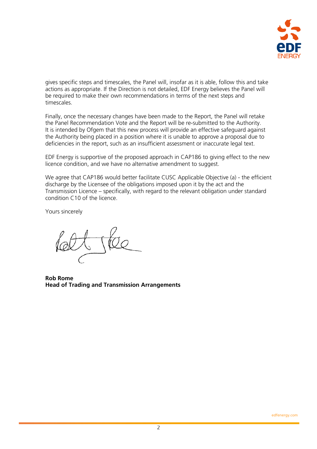

gives specific steps and timescales, the Panel will, insofar as it is able, follow this and take actions as appropriate. If the Direction is not detailed, EDF Energy believes the Panel will be required to make their own recommendations in terms of the next steps and timescales.

Finally, once the necessary changes have been made to the Report, the Panel will retake the Panel Recommendation Vote and the Report will be re-submitted to the Authority. It is intended by Ofgem that this new process will provide an effective safeguard against the Authority being placed in a position where it is unable to approve a proposal due to deficiencies in the report, such as an insufficient assessment or inaccurate legal text.

EDF Energy is supportive of the proposed approach in CAP186 to giving effect to the new licence condition, and we have no alternative amendment to suggest.

We agree that CAP186 would better facilitate CUSC Applicable Objective (a) - the efficient discharge by the Licensee of the obligations imposed upon it by the act and the Transmission Licence – specifically, with regard to the relevant obligation under standard condition C10 of the licence.

Yours sincerely

**Rob Rome Head of Trading and Transmission Arrangements**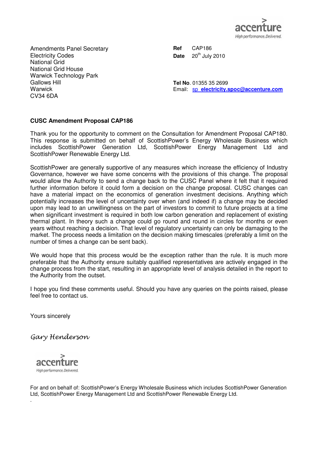

Amendments Panel Secretary Electricity Codes National Grid National Grid House Warwick Technology Park Gallows Hill **Warwick** CV34 6DA

**Ref** CAP186 **Date** 20<sup>th</sup> July 2010

**Tel No**. 01355 35 2699 Email: sp**\_electricity.spoc@accenture.com**

### **CUSC Amendment Proposal CAP186**

Thank you for the opportunity to comment on the Consultation for Amendment Proposal CAP180. This response is submitted on behalf of ScottishPower's Energy Wholesale Business which includes ScottishPower Generation Ltd, ScottishPower Energy Management Ltd and ScottishPower Renewable Energy Ltd.

ScottishPower are generally supportive of any measures which increase the efficiency of Industry Governance, however we have some concerns with the provisions of this change. The proposal would allow the Authority to send a change back to the CUSC Panel where it felt that it required further information before it could form a decision on the change proposal. CUSC changes can have a material impact on the economics of generation investment decisions. Anything which potentially increases the level of uncertainty over when (and indeed if) a change may be decided upon may lead to an unwillingness on the part of investors to commit to future projects at a time when significant investment is required in both low carbon generation and replacement of existing thermal plant. In theory such a change could go round and round in circles for months or even years without reaching a decision. That level of regulatory uncertainty can only be damaging to the market. The process needs a limitation on the decision making timescales (preferably a limit on the number of times a change can be sent back).

We would hope that this process would be the exception rather than the rule. It is much more preferable that the Authority ensure suitably qualified representatives are actively engaged in the change process from the start, resulting in an appropriate level of analysis detailed in the report to the Authority from the outset.

I hope you find these comments useful. Should you have any queries on the points raised, please feel free to contact us.

Yours sincerely

Gary Henderson



.

For and on behalf of: ScottishPower's Energy Wholesale Business which includes ScottishPower Generation Ltd, ScottishPower Energy Management Ltd and ScottishPower Renewable Energy Ltd.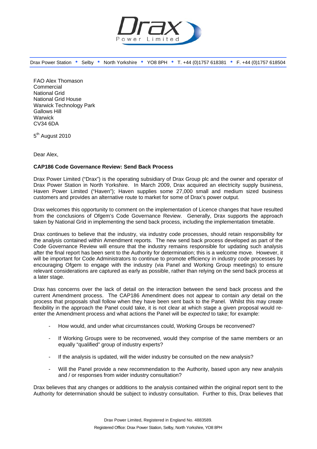

Drax Power Station • Selby • North Yorkshire • YO8 8PH • T. +44 (0)1757 618381 • F. +44 (0)1757 618504

FAO Alex Thomason Commercial National Grid National Grid House Warwick Technology Park Gallows Hill **Warwick** CV34 6DA

5<sup>th</sup> August 2010

Dear Alex,

#### **CAP186 Code Governance Review: Send Back Process**

Drax Power Limited ("Drax") is the operating subsidiary of Drax Group plc and the owner and operator of Drax Power Station in North Yorkshire. In March 2009, Drax acquired an electricity supply business, Haven Power Limited ("Haven"); Haven supplies some 27,000 small and medium sized business customers and provides an alternative route to market for some of Drax's power output.

Drax welcomes this opportunity to comment on the implementation of Licence changes that have resulted from the conclusions of Ofgem's Code Governance Review. Generally, Drax supports the approach taken by National Grid in implementing the send back process, including the implementation timetable.

Drax continues to believe that the industry, via industry code processes, should retain responsibility for the analysis contained within Amendment reports. The new send back process developed as part of the Code Governance Review will ensure that the industry remains responsible for updating such analysis after the final report has been sent to the Authority for determination; this is a welcome move. However, it will be important for Code Administrators to continue to promote efficiency in industry code processes by encouraging Ofgem to engage with the industry (via Panel and Working Group meetings) to ensure relevant considerations are captured as early as possible, rather than relying on the send back process at a later stage.

Drax has concerns over the lack of detail on the interaction between the send back process and the current Amendment process. The CAP186 Amendment does not appear to contain *any* detail on the process that proposals shall follow when they have been sent back to the Panel. Whilst this may create flexibility in the approach the Panel could take, it is not clear at which stage a given proposal would reenter the Amendment process and what actions the Panel will be *expected* to take; for example:

- How would, and under what circumstances could, Working Groups be reconvened?
- If Working Groups were to be reconvened, would they comprise of the same members or an equally "qualified" group of industry experts?
- If the analysis is updated, will the wider industry be consulted on the new analysis?
- Will the Panel provide a new recommendation to the Authority, based upon any new analysis and / or responses from wider industry consultation?

Drax believes that any changes or additions to the analysis contained within the original report sent to the Authority for determination should be subject to industry consultation. Further to this, Drax believes that